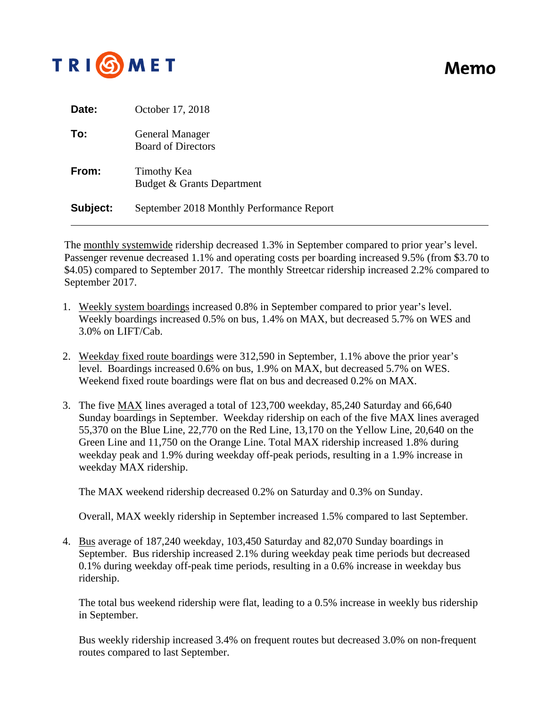

## Memo

| Date:    | October 17, 2018                                    |
|----------|-----------------------------------------------------|
| To:      | <b>General Manager</b><br><b>Board of Directors</b> |
| From:    | Timothy Kea<br>Budget & Grants Department           |
| Subject: | September 2018 Monthly Performance Report           |

The monthly systemwide ridership decreased 1.3% in September compared to prior year's level. Passenger revenue decreased 1.1% and operating costs per boarding increased 9.5% (from \$3.70 to \$4.05) compared to September 2017. The monthly Streetcar ridership increased 2.2% compared to September 2017.

- 1. Weekly system boardings increased 0.8% in September compared to prior year's level. Weekly boardings increased 0.5% on bus, 1.4% on MAX, but decreased 5.7% on WES and 3.0% on LIFT/Cab.
- 2. Weekday fixed route boardings were 312,590 in September, 1.1% above the prior year's level. Boardings increased 0.6% on bus, 1.9% on MAX, but decreased 5.7% on WES. Weekend fixed route boardings were flat on bus and decreased 0.2% on MAX.
- 3. The five MAX lines averaged a total of 123,700 weekday, 85,240 Saturday and 66,640 Sunday boardings in September. Weekday ridership on each of the five MAX lines averaged 55,370 on the Blue Line, 22,770 on the Red Line, 13,170 on the Yellow Line, 20,640 on the Green Line and 11,750 on the Orange Line. Total MAX ridership increased 1.8% during weekday peak and 1.9% during weekday off-peak periods, resulting in a 1.9% increase in weekday MAX ridership.

The MAX weekend ridership decreased 0.2% on Saturday and 0.3% on Sunday.

Overall, MAX weekly ridership in September increased 1.5% compared to last September.

4. Bus average of 187,240 weekday, 103,450 Saturday and 82,070 Sunday boardings in September. Bus ridership increased 2.1% during weekday peak time periods but decreased 0.1% during weekday off-peak time periods, resulting in a 0.6% increase in weekday bus ridership.

The total bus weekend ridership were flat, leading to a 0.5% increase in weekly bus ridership in September.

Bus weekly ridership increased 3.4% on frequent routes but decreased 3.0% on non-frequent routes compared to last September.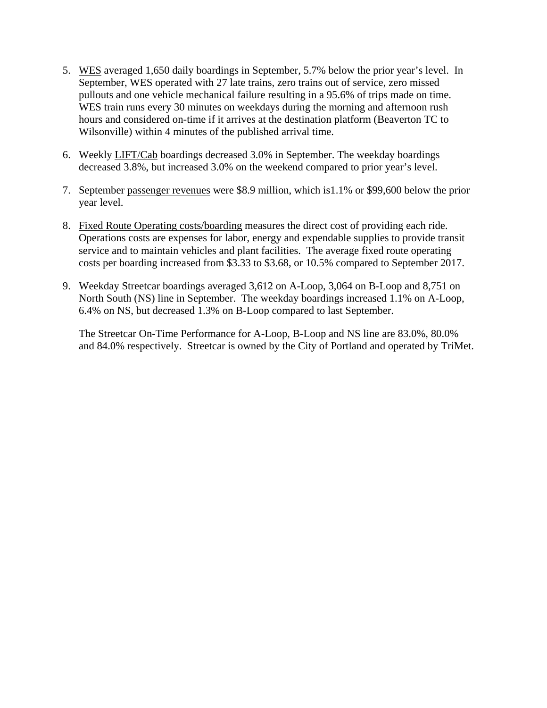- 5. WES averaged 1,650 daily boardings in September, 5.7% below the prior year's level. In September, WES operated with 27 late trains, zero trains out of service, zero missed pullouts and one vehicle mechanical failure resulting in a 95.6% of trips made on time. WES train runs every 30 minutes on weekdays during the morning and afternoon rush hours and considered on-time if it arrives at the destination platform (Beaverton TC to Wilsonville) within 4 minutes of the published arrival time.
- 6. Weekly LIFT/Cab boardings decreased 3.0% in September. The weekday boardings decreased 3.8%, but increased 3.0% on the weekend compared to prior year's level.
- 7. September passenger revenues were \$8.9 million, which is1.1% or \$99,600 below the prior year level.
- 8. Fixed Route Operating costs/boarding measures the direct cost of providing each ride. Operations costs are expenses for labor, energy and expendable supplies to provide transit service and to maintain vehicles and plant facilities. The average fixed route operating costs per boarding increased from \$3.33 to \$3.68, or 10.5% compared to September 2017.
- 9. Weekday Streetcar boardings averaged 3,612 on A-Loop, 3,064 on B-Loop and 8,751 on North South (NS) line in September. The weekday boardings increased 1.1% on A-Loop, 6.4% on NS, but decreased 1.3% on B-Loop compared to last September.

The Streetcar On-Time Performance for A-Loop, B-Loop and NS line are 83.0%, 80.0% and 84.0% respectively. Streetcar is owned by the City of Portland and operated by TriMet.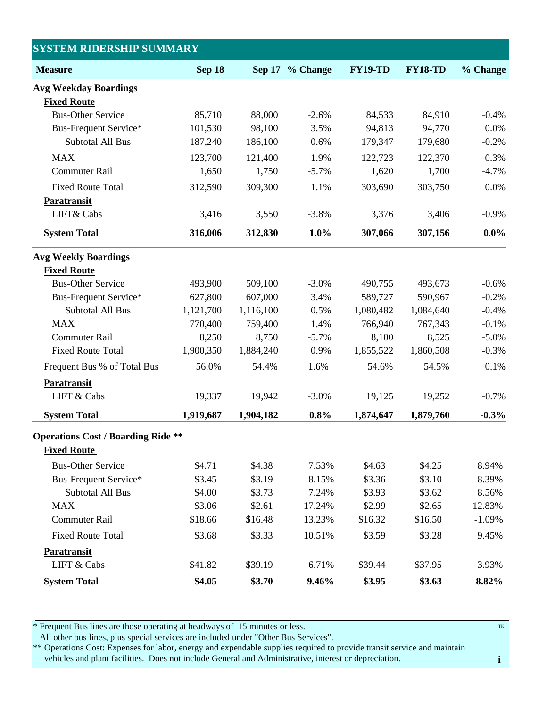| <b>SYSTEM RIDERSHIP SUMMARY</b>           |           |           |                 | <b>FY19-TD</b> |                |          |
|-------------------------------------------|-----------|-----------|-----------------|----------------|----------------|----------|
| <b>Measure</b>                            | Sep 18    |           | Sep 17 % Change |                | <b>FY18-TD</b> | % Change |
| <b>Avg Weekday Boardings</b>              |           |           |                 |                |                |          |
| <b>Fixed Route</b>                        |           |           |                 |                |                |          |
| <b>Bus-Other Service</b>                  | 85,710    | 88,000    | $-2.6%$         | 84,533         | 84,910         | $-0.4%$  |
| Bus-Frequent Service*                     | 101,530   | 98,100    | 3.5%            | 94,813         | 94,770         | 0.0%     |
| <b>Subtotal All Bus</b>                   | 187,240   | 186,100   | 0.6%            | 179,347        | 179,680        | $-0.2%$  |
| <b>MAX</b>                                | 123,700   | 121,400   | 1.9%            | 122,723        | 122,370        | 0.3%     |
| <b>Commuter Rail</b>                      | 1,650     | 1,750     | $-5.7%$         | 1,620          | 1,700          | $-4.7%$  |
| <b>Fixed Route Total</b>                  | 312,590   | 309,300   | 1.1%            | 303,690        | 303,750        | 0.0%     |
| Paratransit                               |           |           |                 |                |                |          |
| LIFT& Cabs                                | 3,416     | 3,550     | $-3.8%$         | 3,376          | 3,406          | $-0.9%$  |
| <b>System Total</b>                       | 316,006   | 312,830   | 1.0%            | 307,066        | 307,156        | $0.0\%$  |
| <b>Avg Weekly Boardings</b>               |           |           |                 |                |                |          |
| <b>Fixed Route</b>                        |           |           |                 |                |                |          |
| <b>Bus-Other Service</b>                  | 493,900   | 509,100   | $-3.0%$         | 490,755        | 493,673        | $-0.6%$  |
| Bus-Frequent Service*                     | 627,800   | 607,000   | 3.4%            | 589,727        | 590,967        | $-0.2%$  |
| <b>Subtotal All Bus</b>                   | 1,121,700 | 1,116,100 | 0.5%            | 1,080,482      | 1,084,640      | $-0.4%$  |
| <b>MAX</b>                                | 770,400   | 759,400   | 1.4%            | 766,940        | 767,343        | $-0.1%$  |
| <b>Commuter Rail</b>                      | 8,250     | 8,750     | $-5.7%$         | 8,100          | 8,525          | $-5.0%$  |
| <b>Fixed Route Total</b>                  | 1,900,350 | 1,884,240 | 0.9%            | 1,855,522      | 1,860,508      | $-0.3%$  |
| Frequent Bus % of Total Bus               | 56.0%     | 54.4%     | 1.6%            | 54.6%          | 54.5%          | 0.1%     |
| Paratransit                               |           |           |                 |                |                |          |
| LIFT & Cabs                               | 19,337    | 19,942    | $-3.0%$         | 19,125         | 19,252         | $-0.7%$  |
| <b>System Total</b>                       | 1,919,687 | 1,904,182 | 0.8%            | 1,874,647      | 1,879,760      | $-0.3%$  |
| <b>Operations Cost / Boarding Ride **</b> |           |           |                 |                |                |          |
| <b>Fixed Route</b>                        |           |           |                 |                |                |          |
| <b>Bus-Other Service</b>                  | \$4.71    | \$4.38    | 7.53%           | \$4.63         | \$4.25         | 8.94%    |
| <b>Bus-Frequent Service*</b>              | \$3.45    | \$3.19    | 8.15%           | \$3.36         | \$3.10         | 8.39%    |
| <b>Subtotal All Bus</b>                   | \$4.00    | \$3.73    | 7.24%           | \$3.93         | \$3.62         | 8.56%    |
| <b>MAX</b>                                | \$3.06    | \$2.61    | 17.24%          | \$2.99         | \$2.65         | 12.83%   |
| <b>Commuter Rail</b>                      | \$18.66   | \$16.48   | 13.23%          | \$16.32        | \$16.50        | $-1.09%$ |
| <b>Fixed Route Total</b>                  | \$3.68    | \$3.33    | 10.51%          | \$3.59         | \$3.28         | 9.45%    |
| Paratransit                               |           |           |                 |                |                |          |
| LIFT & Cabs                               | \$41.82   | \$39.19   | 6.71%           | \$39.44        | \$37.95        | 3.93%    |
| <b>System Total</b>                       | \$4.05    | \$3.70    | 9.46%           | \$3.95         | \$3.63         | 8.82%    |
|                                           |           |           |                 |                |                |          |

\* Frequent Bus lines are those operating at headways of 15 minutes or less.

All other bus lines, plus special services are included under "Other Bus Services".

\*\* Operations Cost: Expenses for labor, energy and expendable supplies required to provide transit service and maintain vehicles and plant facilities. Does not include General and Administrative, interest or depreciation.

TK

**i**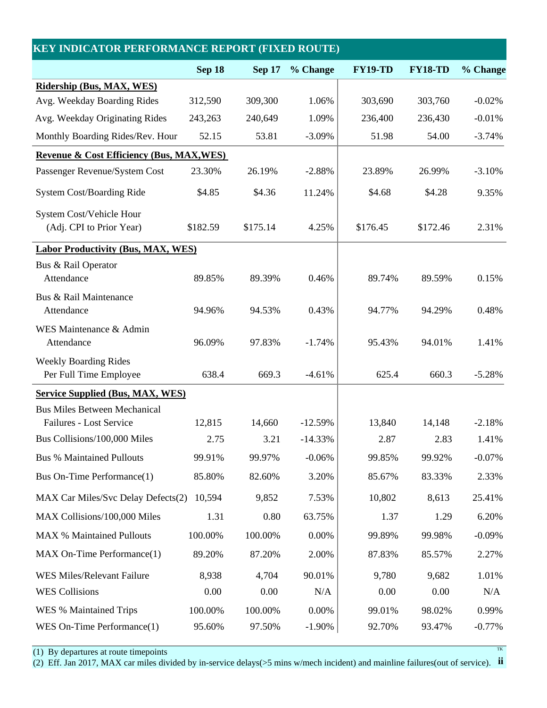| <b>KEY INDICATOR PERFORMANCE REPORT (FIXED ROUTE)</b>  |          |               |           |                |                |          |  |
|--------------------------------------------------------|----------|---------------|-----------|----------------|----------------|----------|--|
|                                                        | Sep 18   | <b>Sep 17</b> | % Change  | <b>FY19-TD</b> | <b>FY18-TD</b> | % Change |  |
| Ridership (Bus, MAX, WES)                              |          |               |           |                |                |          |  |
| Avg. Weekday Boarding Rides                            | 312,590  | 309,300       | 1.06%     | 303,690        | 303,760        | $-0.02%$ |  |
| Avg. Weekday Originating Rides                         | 243,263  | 240,649       | 1.09%     | 236,400        | 236,430        | $-0.01%$ |  |
| Monthly Boarding Rides/Rev. Hour                       | 52.15    | 53.81         | $-3.09%$  | 51.98          | 54.00          | $-3.74%$ |  |
| <b>Revenue &amp; Cost Efficiency (Bus, MAX, WES)</b>   |          |               |           |                |                |          |  |
| Passenger Revenue/System Cost                          | 23.30%   | 26.19%        | $-2.88%$  | 23.89%         | 26.99%         | $-3.10%$ |  |
| <b>System Cost/Boarding Ride</b>                       | \$4.85   | \$4.36        | 11.24%    | \$4.68         | \$4.28         | 9.35%    |  |
| System Cost/Vehicle Hour<br>(Adj. CPI to Prior Year)   | \$182.59 | \$175.14      | 4.25%     | \$176.45       | \$172.46       | 2.31%    |  |
| <b>Labor Productivity (Bus, MAX, WES)</b>              |          |               |           |                |                |          |  |
| Bus & Rail Operator<br>Attendance                      | 89.85%   | 89.39%        | 0.46%     | 89.74%         | 89.59%         | 0.15%    |  |
| Bus & Rail Maintenance<br>Attendance                   | 94.96%   | 94.53%        | 0.43%     | 94.77%         | 94.29%         | 0.48%    |  |
| WES Maintenance & Admin<br>Attendance                  | 96.09%   | 97.83%        | $-1.74%$  | 95.43%         | 94.01%         | 1.41%    |  |
| <b>Weekly Boarding Rides</b><br>Per Full Time Employee | 638.4    | 669.3         | $-4.61%$  | 625.4          | 660.3          | $-5.28%$ |  |
| <b>Service Supplied (Bus, MAX, WES)</b>                |          |               |           |                |                |          |  |
| <b>Bus Miles Between Mechanical</b>                    |          |               |           |                |                |          |  |
| Failures - Lost Service                                | 12,815   | 14,660        | $-12.59%$ | 13,840         | 14,148         | $-2.18%$ |  |
| Bus Collisions/100,000 Miles                           | 2.75     | 3.21          | $-14.33%$ | 2.87           | 2.83           | 1.41%    |  |
| <b>Bus % Maintained Pullouts</b>                       | 99.91%   | 99.97%        | $-0.06%$  | 99.85%         | 99.92%         | $-0.07%$ |  |
| Bus On-Time Performance(1)                             | 85.80%   | 82.60%        | 3.20%     | 85.67%         | 83.33%         | 2.33%    |  |
| MAX Car Miles/Svc Delay Defects(2)                     | 10,594   | 9,852         | 7.53%     | 10,802         | 8,613          | 25.41%   |  |
| MAX Collisions/100,000 Miles                           | 1.31     | 0.80          | 63.75%    | 1.37           | 1.29           | 6.20%    |  |
| <b>MAX % Maintained Pullouts</b>                       | 100.00%  | 100.00%       | 0.00%     | 99.89%         | 99.98%         | $-0.09%$ |  |
| MAX On-Time Performance(1)                             | 89.20%   | 87.20%        | 2.00%     | 87.83%         | 85.57%         | 2.27%    |  |
| WES Miles/Relevant Failure                             | 8,938    | 4,704         | 90.01%    | 9,780          | 9,682          | 1.01%    |  |
| <b>WES Collisions</b>                                  | 0.00     | 0.00          | N/A       | 0.00           | 0.00           | N/A      |  |
| WES % Maintained Trips                                 | 100.00%  | 100.00%       | 0.00%     | 99.01%         | 98.02%         | 0.99%    |  |
| WES On-Time Performance(1)                             | 95.60%   | 97.50%        | $-1.90%$  | 92.70%         | 93.47%         | $-0.77%$ |  |

(1) By departures at route timepoints  $T<sup>K</sup>$ 

**ii** (2) Eff. Jan 2017, MAX car miles divided by in-service delays(>5 mins w/mech incident) and mainline failures(out of service).